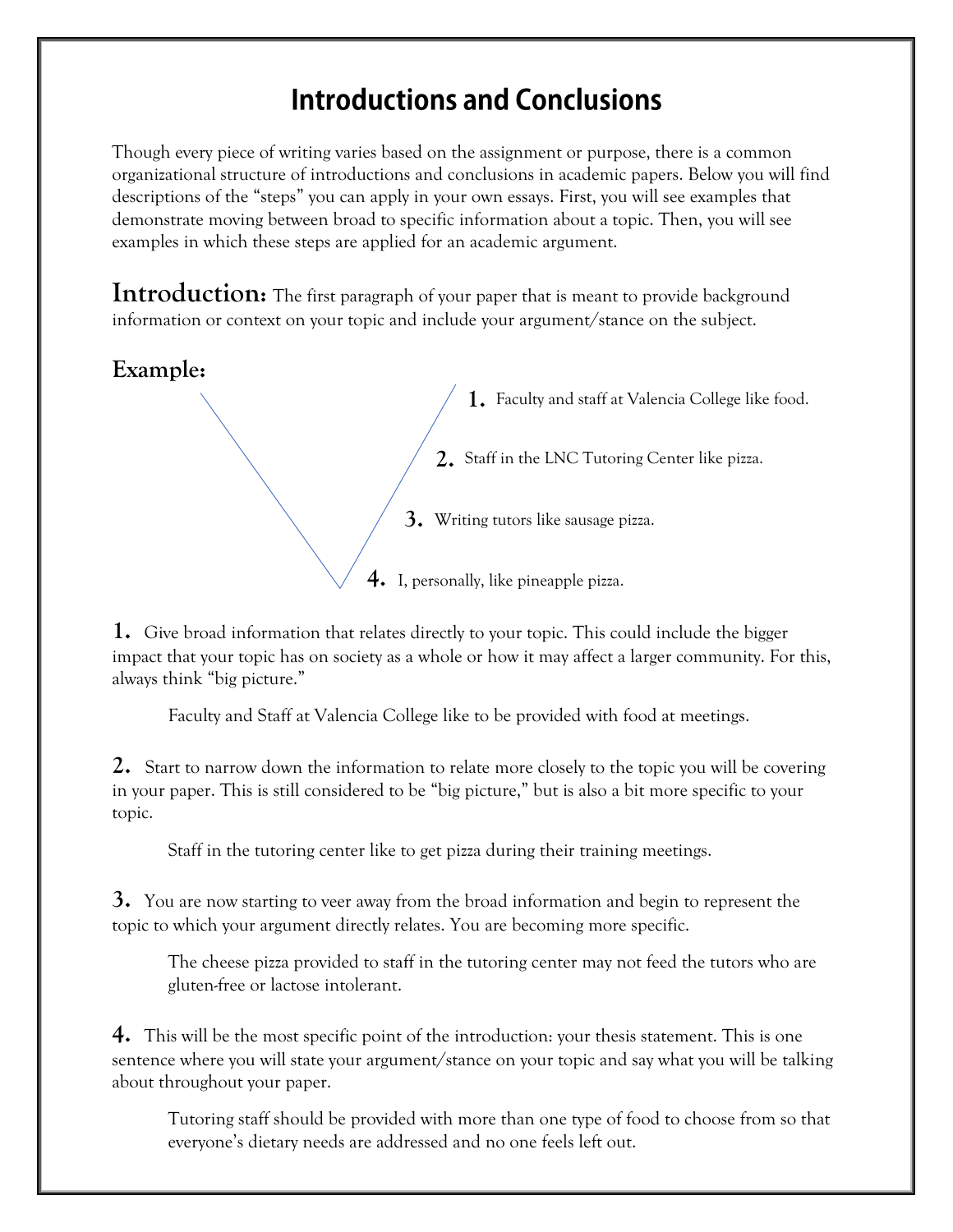## **Introductions and Conclusions**

Though every piece of writing varies based on the assignment or purpose, there is a common organizational structure of introductions and conclusions in academic papers. Below you will find descriptions of the "steps" you can apply in your own essays. First, you will see examples that demonstrate moving between broad to specific information about a topic. Then, you will see examples in which these steps are applied for an academic argument.

**Introduction:** The first paragraph of your paper that is meant to provide background information or context on your topic and include your argument/stance on the subject.

## **Example:**

 $\setminus$  1. Faculty and staff at Valencia College like food.

 **2.**  Staff in the LNC Tutoring Center like pizza.

 **3.**  Writing tutors like sausage pizza.

 $\sqrt{\phantom{a}}$  **4.** I, personally, like pineapple pizza.

**1.** Give broad information that relates directly to your topic. This could include the bigger impact that your topic has on society as a whole or how it may affect a larger community. For this, always think "big picture."

Faculty and Staff at Valencia College like to be provided with food at meetings.

**2.** Start to narrow down the information to relate more closely to the topic you will be covering in your paper. This is still considered to be "big picture," but is also a bit more specific to your topic.

Staff in the tutoring center like to get pizza during their training meetings.

**3.** You are now starting to veer away from the broad information and begin to represent the topic to which your argument directly relates. You are becoming more specific.

The cheese pizza provided to staff in the tutoring center may not feed the tutors who are gluten-free or lactose intolerant.

**4.** This will be the most specific point of the introduction: your thesis statement. This is one sentence where you will state your argument/stance on your topic and say what you will be talking about throughout your paper.

Tutoring staff should be provided with more than one type of food to choose from so that everyone's dietary needs are addressed and no one feels left out.